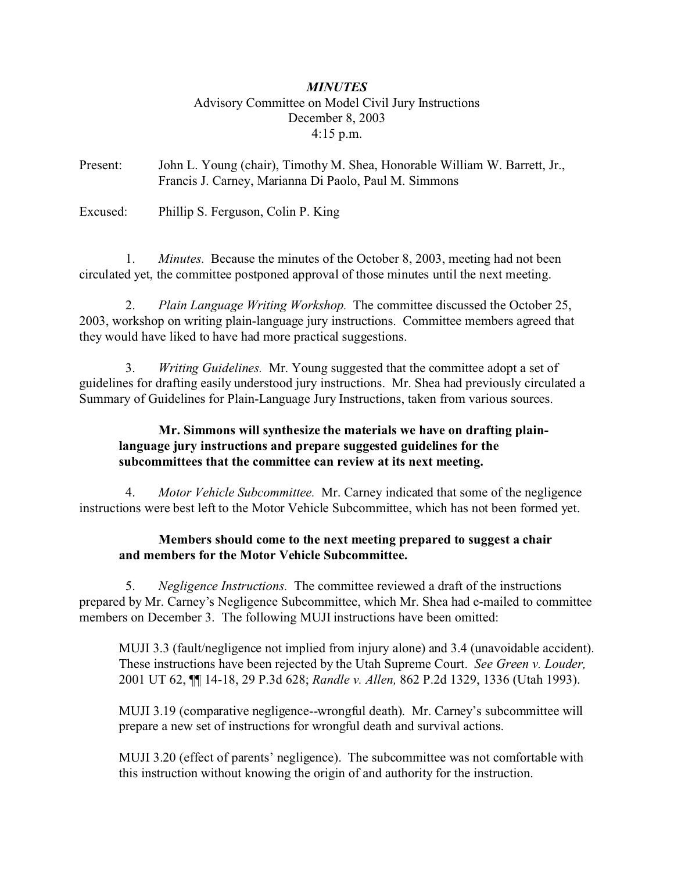## *MINUTES* Advisory Committee on Model Civil Jury Instructions December 8, 2003 4:15 p.m.

Present: John L. Young (chair), Timothy M. Shea, Honorable William W. Barrett, Jr., Francis J. Carney, Marianna Di Paolo, Paul M. Simmons

Excused: Phillip S. Ferguson, Colin P. King

 1. *Minutes.* Because the minutes of the October 8, 2003, meeting had not been circulated yet, the committee postponed approval of those minutes until the next meeting.

 2. *Plain Language Writing Workshop.* The committee discussed the October 25, 2003, workshop on writing plain-language jury instructions. Committee members agreed that they would have liked to have had more practical suggestions.

 3. *Writing Guidelines.* Mr. Young suggested that the committee adopt a set of guidelines for drafting easily understood jury instructions. Mr. Shea had previously circulated a Summary of Guidelines for Plain-Language Jury Instructions, taken from various sources.

## **Mr. Simmons will synthesize the materials we have on drafting plainlanguage jury instructions and prepare suggested guidelines for the subcommittees that the committee can review at its next meeting.**

 4. *Motor Vehicle Subcommittee.* Mr. Carney indicated that some of the negligence instructions were best left to the Motor Vehicle Subcommittee, which has not been formed yet.

## **Members should come to the next meeting prepared to suggest a chair and members for the Motor Vehicle Subcommittee.**

 5. *Negligence Instructions.* The committee reviewed a draft of the instructions prepared by Mr. Carney's Negligence Subcommittee, which Mr. Shea had e-mailed to committee members on December 3. The following MUJI instructions have been omitted:

MUJI 3.3 (fault/negligence not implied from injury alone) and 3.4 (unavoidable accident). These instructions have been rejected by the Utah Supreme Court. *See Green v. Louder,* 2001 UT 62, ¶¶ 14-18, 29 P.3d 628; *Randle v. Allen,* 862 P.2d 1329, 1336 (Utah 1993).

MUJI 3.19 (comparative negligence--wrongful death). Mr. Carney's subcommittee will prepare a new set of instructions for wrongful death and survival actions.

MUJI 3.20 (effect of parents' negligence). The subcommittee was not comfortable with this instruction without knowing the origin of and authority for the instruction.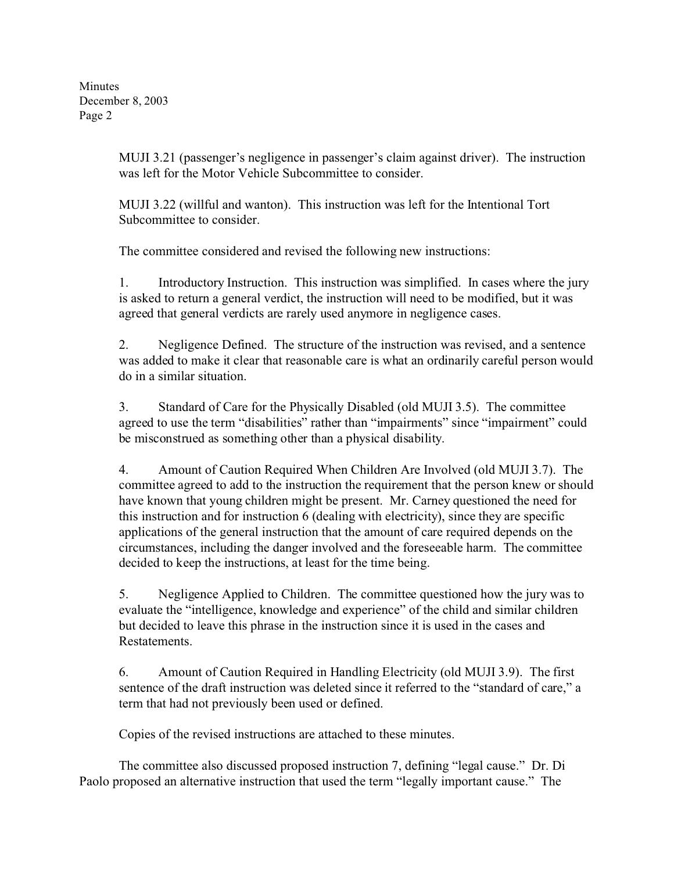Minutes December 8, 2003 Page 2

> MUJI 3.21 (passenger's negligence in passenger's claim against driver). The instruction was left for the Motor Vehicle Subcommittee to consider.

MUJI 3.22 (willful and wanton). This instruction was left for the Intentional Tort Subcommittee to consider.

The committee considered and revised the following new instructions:

1. Introductory Instruction. This instruction was simplified. In cases where the jury is asked to return a general verdict, the instruction will need to be modified, but it was agreed that general verdicts are rarely used anymore in negligence cases.

2. Negligence Defined. The structure of the instruction was revised, and a sentence was added to make it clear that reasonable care is what an ordinarily careful person would do in a similar situation.

3. Standard of Care for the Physically Disabled (old MUJI 3.5). The committee agreed to use the term "disabilities" rather than "impairments" since "impairment" could be misconstrued as something other than a physical disability.

4. Amount of Caution Required When Children Are Involved (old MUJI 3.7). The committee agreed to add to the instruction the requirement that the person knew or should have known that young children might be present. Mr. Carney questioned the need for this instruction and for instruction 6 (dealing with electricity), since they are specific applications of the general instruction that the amount of care required depends on the circumstances, including the danger involved and the foreseeable harm. The committee decided to keep the instructions, at least for the time being.

5. Negligence Applied to Children. The committee questioned how the jury was to evaluate the "intelligence, knowledge and experience" of the child and similar children but decided to leave this phrase in the instruction since it is used in the cases and **Restatements** 

6. Amount of Caution Required in Handling Electricity (old MUJI 3.9). The first sentence of the draft instruction was deleted since it referred to the "standard of care," a term that had not previously been used or defined.

Copies of the revised instructions are attached to these minutes.

The committee also discussed proposed instruction 7, defining "legal cause." Dr. Di Paolo proposed an alternative instruction that used the term "legally important cause." The